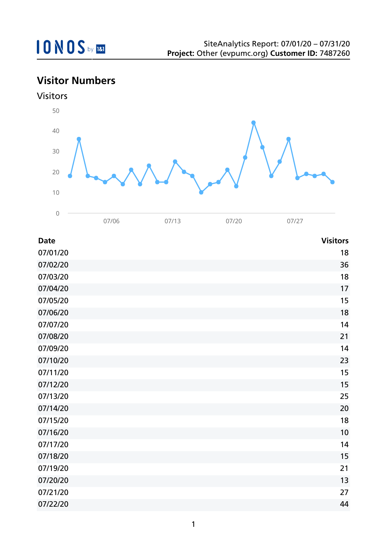## **Visitor Numbers**





| <b>Date</b> | <b>Visitors</b> |
|-------------|-----------------|
| 07/01/20    | 18              |
| 07/02/20    | 36              |
| 07/03/20    | 18              |
| 07/04/20    | 17              |
| 07/05/20    | 15              |
| 07/06/20    | 18              |
| 07/07/20    | 14              |
| 07/08/20    | 21              |
| 07/09/20    | 14              |
| 07/10/20    | 23              |
| 07/11/20    | 15              |
| 07/12/20    | 15              |
| 07/13/20    | 25              |
| 07/14/20    | 20              |
| 07/15/20    | 18              |
| 07/16/20    | 10              |
| 07/17/20    | 14              |
| 07/18/20    | 15              |
| 07/19/20    | 21              |
| 07/20/20    | 13              |
| 07/21/20    | 27              |
| 07/22/20    | 44              |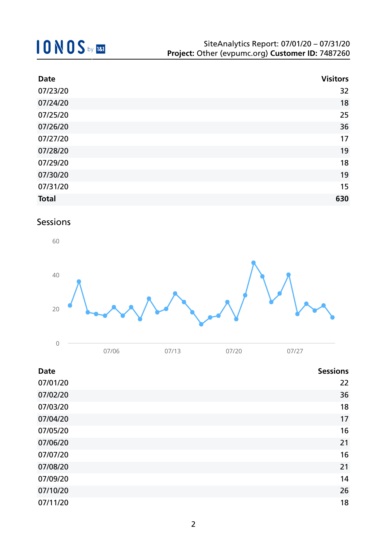| <b>Date</b>  | <b>Visitors</b> |
|--------------|-----------------|
| 07/23/20     | 32              |
| 07/24/20     | 18              |
| 07/25/20     | 25              |
| 07/26/20     | 36              |
| 07/27/20     | 17              |
| 07/28/20     | 19              |
| 07/29/20     | 18              |
| 07/30/20     | 19              |
| 07/31/20     | 15              |
| <b>Total</b> | 630             |

### Sessions



| 07/06 | 07/13 | 07/20 | 07/27 |
|-------|-------|-------|-------|

| <b>Date</b> | <b>Sessions</b> |
|-------------|-----------------|
| 07/01/20    | 22              |
| 07/02/20    | 36              |
| 07/03/20    | 18              |
| 07/04/20    | 17              |
| 07/05/20    | 16              |
| 07/06/20    | 21              |
| 07/07/20    | 16              |
| 07/08/20    | 21              |
| 07/09/20    | 14              |
| 07/10/20    | 26              |
| 07/11/20    | 18              |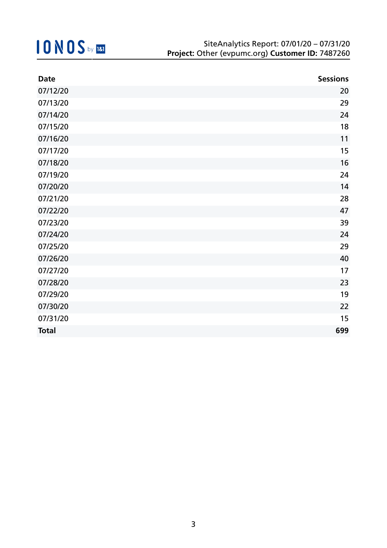| <b>Date</b>  | <b>Sessions</b> |
|--------------|-----------------|
| 07/12/20     | 20              |
| 07/13/20     | 29              |
| 07/14/20     | 24              |
| 07/15/20     | 18              |
| 07/16/20     | 11              |
| 07/17/20     | 15              |
| 07/18/20     | 16              |
| 07/19/20     | 24              |
| 07/20/20     | 14              |
| 07/21/20     | 28              |
| 07/22/20     | 47              |
| 07/23/20     | 39              |
| 07/24/20     | 24              |
| 07/25/20     | 29              |
| 07/26/20     | 40              |
| 07/27/20     | 17              |
| 07/28/20     | 23              |
| 07/29/20     | 19              |
| 07/30/20     | 22              |
| 07/31/20     | 15              |
| <b>Total</b> | 699             |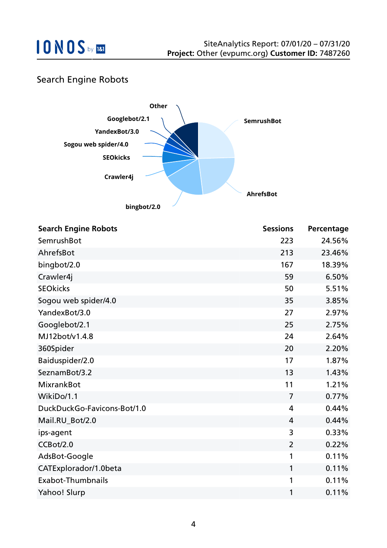

### Search Engine Robots



| <b>Search Engine Robots</b> | <b>Sessions</b> | Percentage |
|-----------------------------|-----------------|------------|
| SemrushBot                  | 223             | 24.56%     |
| AhrefsBot                   | 213             | 23.46%     |
| bingbot/2.0                 | 167             | 18.39%     |
| Crawler4j                   | 59              | 6.50%      |
| <b>SEOkicks</b>             | 50              | 5.51%      |
| Sogou web spider/4.0        | 35              | 3.85%      |
| YandexBot/3.0               | 27              | 2.97%      |
| Googlebot/2.1               | 25              | 2.75%      |
| MJ12bot/v1.4.8              | 24              | 2.64%      |
| 360Spider                   | 20              | 2.20%      |
| Baiduspider/2.0             | 17              | 1.87%      |
| SeznamBot/3.2               | 13              | 1.43%      |
| <b>MixrankBot</b>           | 11              | 1.21%      |
| WikiDo/1.1                  | 7               | 0.77%      |
| DuckDuckGo-Favicons-Bot/1.0 | 4               | 0.44%      |
| Mail.RU_Bot/2.0             | 4               | 0.44%      |
| ips-agent                   | 3               | 0.33%      |
| CCBot/2.0                   | $\overline{2}$  | 0.22%      |
| AdsBot-Google               | 1               | 0.11%      |
| CATExplorador/1.0beta       | 1               | 0.11%      |
| <b>Exabot-Thumbnails</b>    | 1               | 0.11%      |
| Yahoo! Slurp                | 1               | 0.11%      |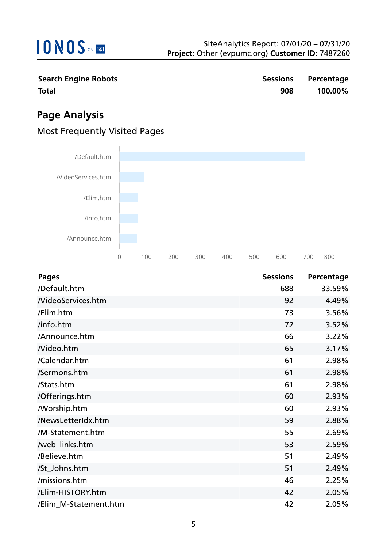

|              | <b>Search Engine Robots</b> |  |
|--------------|-----------------------------|--|
| <b>Total</b> |                             |  |

**Search Engine Robots Sessions Percentage Total 908 100.00%**

## **Page Analysis**

### Most Frequently Visited Pages



| <b>Pages</b>             | <b>Sessions</b> | Percentage |
|--------------------------|-----------------|------------|
| /Default.htm             | 688             | 33.59%     |
| <b>NideoServices.htm</b> | 92              | 4.49%      |
| /Elim.htm                | 73              | 3.56%      |
| /info.htm                | 72              | 3.52%      |
| /Announce.htm            | 66              | 3.22%      |
| Nideo.htm                | 65              | 3.17%      |
| /Calendar.htm            | 61              | 2.98%      |
| /Sermons.htm             | 61              | 2.98%      |
| /Stats.htm               | 61              | 2.98%      |
| /Offerings.htm           | 60              | 2.93%      |
| <b>Morship.htm</b>       | 60              | 2.93%      |
| /NewsLetterIdx.htm       | 59              | 2.88%      |
| /M-Statement.htm         | 55              | 2.69%      |
| /web_links.htm           | 53              | 2.59%      |
| /Believe.htm             | 51              | 2.49%      |
| /St_Johns.htm            | 51              | 2.49%      |
| /missions.htm            | 46              | 2.25%      |
| /Elim-HISTORY.htm        | 42              | 2.05%      |
| /Elim_M-Statement.htm    | 42              | 2.05%      |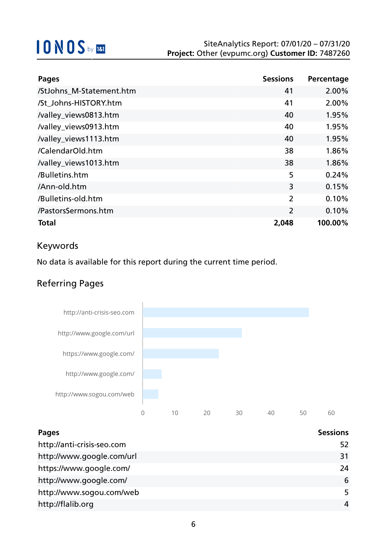| <b>Pages</b>             | <b>Sessions</b> | Percentage |
|--------------------------|-----------------|------------|
| /StJohns_M-Statement.htm | 41              | 2.00%      |
| /St Johns-HISTORY.htm    | 41              | 2.00%      |
| /valley_views0813.htm    | 40              | 1.95%      |
| /valley_views0913.htm    | 40              | 1.95%      |
| /valley_views1113.htm    | 40              | 1.95%      |
| /CalendarOld.htm         | 38              | 1.86%      |
| /valley_views1013.htm    | 38              | 1.86%      |
| /Bulletins.htm           | 5               | 0.24%      |
| /Ann-old.htm             | 3               | 0.15%      |
| /Bulletins-old.htm       | $\overline{2}$  | 0.10%      |
| /PastorsSermons.htm      | $\overline{2}$  | 0.10%      |
| <b>Total</b>             | 2,048           | 100.00%    |

### Keywords

No data is available for this report during the current time period.

## Referring Pages



| <b>Pages</b>               | <b>Sessions</b> |
|----------------------------|-----------------|
| http://anti-crisis-seo.com | 52              |
| http://www.google.com/url  | 31              |
| https://www.google.com/    | 24              |
| http://www.google.com/     | 6               |
| http://www.sogou.com/web   | 5               |
| http://flalib.org          | 4               |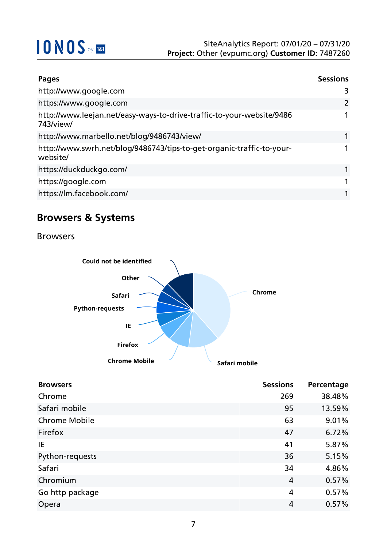| <b>Pages</b>                                                                       | <b>Sessions</b> |
|------------------------------------------------------------------------------------|-----------------|
| http://www.google.com                                                              | 3               |
| https://www.google.com                                                             | 2               |
| http://www.leejan.net/easy-ways-to-drive-traffic-to-your-website/9486<br>743/view/ |                 |
| http://www.marbello.net/blog/9486743/view/                                         |                 |
| http://www.swrh.net/blog/9486743/tips-to-get-organic-traffic-to-your-<br>website/  |                 |
| https://duckduckgo.com/                                                            |                 |
| https://google.com                                                                 |                 |
| https://lm.facebook.com/                                                           |                 |

## **Browsers & Systems**

Browsers



| <b>Browsers</b>      | <b>Sessions</b> | Percentage |
|----------------------|-----------------|------------|
| Chrome               | 269             | 38.48%     |
| Safari mobile        | 95              | 13.59%     |
| <b>Chrome Mobile</b> | 63              | 9.01%      |
| Firefox              | 47              | 6.72%      |
| IE                   | 41              | 5.87%      |
| Python-requests      | 36              | 5.15%      |
| Safari               | 34              | 4.86%      |
| Chromium             | 4               | 0.57%      |
| Go http package      | 4               | 0.57%      |
| Opera                | 4               | 0.57%      |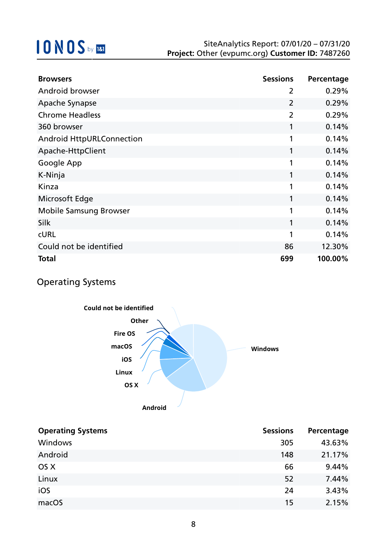| <b>Browsers</b>                  | <b>Sessions</b> | Percentage |
|----------------------------------|-----------------|------------|
| Android browser                  | 2               | 0.29%      |
| Apache Synapse                   | $\overline{2}$  | 0.29%      |
| <b>Chrome Headless</b>           | $\overline{2}$  | 0.29%      |
| 360 browser                      | 1               | 0.14%      |
| <b>Android HttpURLConnection</b> | 1               | 0.14%      |
| Apache-HttpClient                | 1               | 0.14%      |
| Google App                       | 1               | 0.14%      |
| K-Ninja                          | 1               | 0.14%      |
| Kinza                            | 1               | 0.14%      |
| Microsoft Edge                   | 1               | 0.14%      |
| <b>Mobile Samsung Browser</b>    | 1               | 0.14%      |
| <b>Silk</b>                      | 1               | 0.14%      |
| <b>CURL</b>                      | 1               | 0.14%      |
| Could not be identified          | 86              | 12.30%     |
| <b>Total</b>                     | 699             | 100.00%    |

### Operating Systems



| <b>Operating Systems</b> | <b>Sessions</b> | Percentage |
|--------------------------|-----------------|------------|
| Windows                  | 305             | 43.63%     |
| Android                  | 148             | 21.17%     |
| OS X                     | 66              | 9.44%      |
| Linux                    | 52              | 7.44%      |
| iOS                      | 24              | 3.43%      |
| macOS                    | 15              | 2.15%      |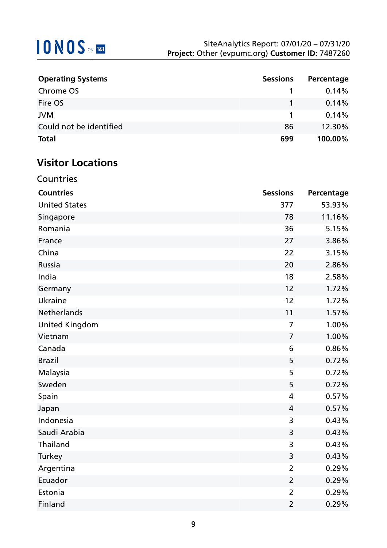| <b>Operating Systems</b> | <b>Sessions</b> | Percentage |
|--------------------------|-----------------|------------|
| Chrome OS                |                 | 0.14%      |
| Fire OS                  |                 | 0.14%      |
| <b>JVM</b>               |                 | 0.14%      |
| Could not be identified  | 86              | 12.30%     |
| <b>Total</b>             | 699             | 100.00%    |

## **Visitor Locations**

|  | Countries |
|--|-----------|
|  |           |
|  |           |

| <b>Countries</b>      | <b>Sessions</b> | Percentage |
|-----------------------|-----------------|------------|
| <b>United States</b>  | 377             | 53.93%     |
| Singapore             | 78              | 11.16%     |
| Romania               | 36              | 5.15%      |
| France                | 27              | 3.86%      |
| China                 | 22              | 3.15%      |
| Russia                | 20              | 2.86%      |
| India                 | 18              | 2.58%      |
| Germany               | 12              | 1.72%      |
| <b>Ukraine</b>        | 12              | 1.72%      |
| <b>Netherlands</b>    | 11              | 1.57%      |
| <b>United Kingdom</b> | $\overline{7}$  | 1.00%      |
| Vietnam               | $\overline{7}$  | 1.00%      |
| Canada                | 6               | 0.86%      |
| <b>Brazil</b>         | 5               | 0.72%      |
| Malaysia              | 5               | 0.72%      |
| Sweden                | 5               | 0.72%      |
| Spain                 | $\overline{4}$  | 0.57%      |
| Japan                 | 4               | 0.57%      |
| Indonesia             | 3               | 0.43%      |
| Saudi Arabia          | 3               | 0.43%      |
| Thailand              | 3               | 0.43%      |
| Turkey                | 3               | 0.43%      |
| Argentina             | $\overline{2}$  | 0.29%      |
| Ecuador               | $\overline{2}$  | 0.29%      |
| Estonia               | $\overline{2}$  | 0.29%      |
| Finland               | $\overline{2}$  | 0.29%      |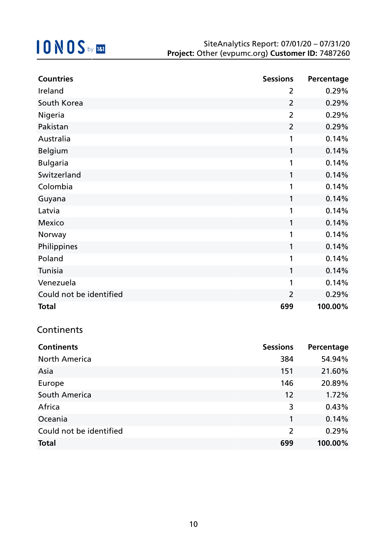| <b>Countries</b>        | <b>Sessions</b> | Percentage |
|-------------------------|-----------------|------------|
| Ireland                 | 2               | 0.29%      |
| South Korea             | $\overline{2}$  | 0.29%      |
| Nigeria                 | $\overline{2}$  | 0.29%      |
| Pakistan                | $\overline{2}$  | 0.29%      |
| Australia               | 1               | 0.14%      |
| <b>Belgium</b>          | 1               | 0.14%      |
| <b>Bulgaria</b>         | 1               | 0.14%      |
| Switzerland             | 1               | 0.14%      |
| Colombia                | 1               | 0.14%      |
| Guyana                  | 1               | 0.14%      |
| Latvia                  | 1               | 0.14%      |
| <b>Mexico</b>           | 1               | 0.14%      |
| Norway                  | 1               | 0.14%      |
| Philippines             | 1               | 0.14%      |
| Poland                  | 1               | 0.14%      |
| Tunisia                 | 1               | 0.14%      |
| Venezuela               | 1               | 0.14%      |
| Could not be identified | $\overline{2}$  | 0.29%      |
| <b>Total</b>            | 699             | 100.00%    |

## **Continents**

| <b>Continents</b>       | <b>Sessions</b> | Percentage |
|-------------------------|-----------------|------------|
| <b>North America</b>    | 384             | 54.94%     |
| Asia                    | 151             | 21.60%     |
| Europe                  | 146             | 20.89%     |
| South America           | 12              | 1.72%      |
| Africa                  | 3               | 0.43%      |
| Oceania                 | 1               | 0.14%      |
| Could not be identified | $\overline{2}$  | 0.29%      |
| <b>Total</b>            | 699             | 100.00%    |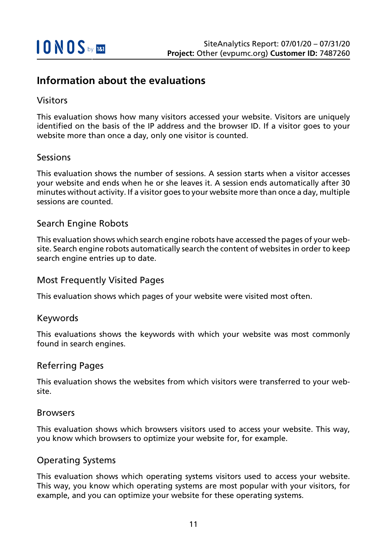## **Information about the evaluations**

### Visitors

This evaluation shows how many visitors accessed your website. Visitors are uniquely identified on the basis of the IP address and the browser ID. If a visitor goes to your website more than once a day, only one visitor is counted.

#### Sessions

This evaluation shows the number of sessions. A session starts when a visitor accesses your website and ends when he or she leaves it. A session ends automatically after 30 minutes without activity. If a visitor goes to your website more than once a day, multiple sessions are counted.

#### Search Engine Robots

This evaluation shows which search engine robots have accessed the pages of your website. Search engine robots automatically search the content of websites in order to keep search engine entries up to date.

#### Most Frequently Visited Pages

This evaluation shows which pages of your website were visited most often.

#### Keywords

This evaluations shows the keywords with which your website was most commonly found in search engines.

#### Referring Pages

This evaluation shows the websites from which visitors were transferred to your website.

#### Browsers

This evaluation shows which browsers visitors used to access your website. This way, you know which browsers to optimize your website for, for example.

#### Operating Systems

This evaluation shows which operating systems visitors used to access your website. This way, you know which operating systems are most popular with your visitors, for example, and you can optimize your website for these operating systems.